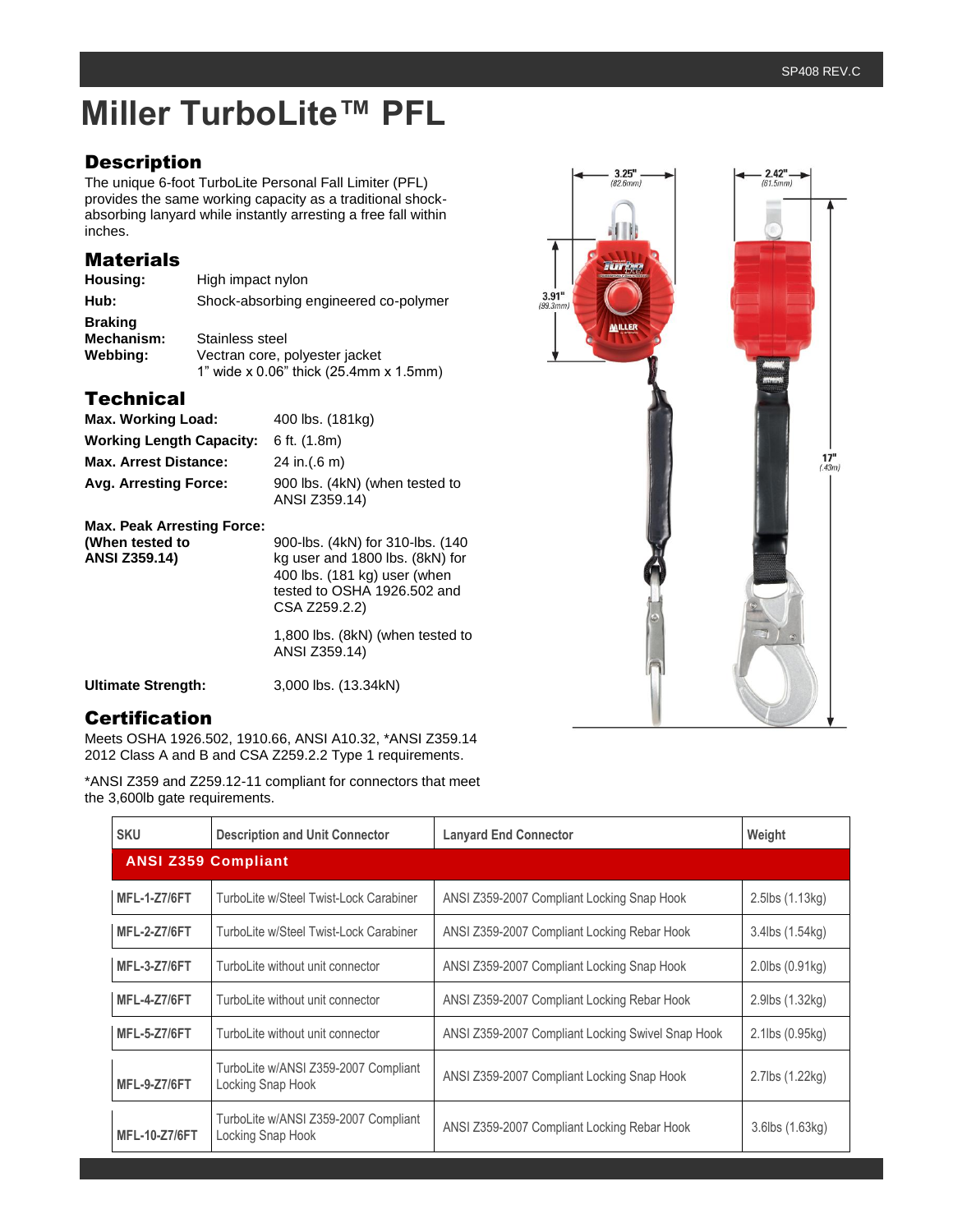# **Miller TurboLite™ PFL**

## **Description**

The unique 6-foot TurboLite Personal Fall Limiter (PFL) provides the same working capacity as a traditional shockabsorbing lanyard while instantly arresting a free fall within inches.

### **Materials**

| Housing:                     | High impact nylon                      |  |  |  |
|------------------------------|----------------------------------------|--|--|--|
| Hub:                         | Shock-absorbing engineered co-polymer  |  |  |  |
| <b>Braking</b><br>Mechanism: | Stainless steel                        |  |  |  |
| Webbing:                     | Vectran core, polyester jacket         |  |  |  |
|                              | 1" wide x 0.06" thick (25.4mm x 1.5mm) |  |  |  |

# **Technical**

| Max. Working Load:                | 400 lbs. (181kg)                                |
|-----------------------------------|-------------------------------------------------|
| <b>Working Length Capacity:</b>   | 6 ft. $(1.8m)$                                  |
| <b>Max. Arrest Distance:</b>      | 24 in. $(0.6)$ m)                               |
| Avg. Arresting Force:             | 900 lbs. (4kN) (when tested to<br>ANSI Z359.14) |
| <b>Max. Peak Arresting Force:</b> |                                                 |

**(When tested to** 900-lbs. (4kN) for 310-lbs. (140 **ANSI Z359.14)** kg user and 1800 lbs. (8kN) for 400 lbs. (181 kg) user (when tested to OSHA 1926.502 and CSA Z259.2.2) 1,800 lbs. (8kN) (when tested to ANSI Z359.14)

**Ultimate Strength:** 3,000 lbs. (13.34kN)

### Certification

Meets OSHA 1926.502, 1910.66, ANSI A10.32, \*ANSI Z359.14 2012 Class A and B and CSA Z259.2.2 Type 1 requirements.

\*ANSI Z359 and Z259.12-11 compliant for connectors that meet the 3,600lb gate requirements.

| <b>SKU</b>                 | <b>Description and Unit Connector</b>                     | <b>Lanyard End Connector</b>                      | Weight                   |
|----------------------------|-----------------------------------------------------------|---------------------------------------------------|--------------------------|
| <b>ANSI Z359 Compliant</b> |                                                           |                                                   |                          |
| <b>MFL-1-Z7/6FT</b>        | TurboLite w/Steel Twist-Lock Carabiner                    | ANSI Z359-2007 Compliant Locking Snap Hook        | $2.5$ lbs $(1.13kg)$     |
| <b>MFL-2-Z7/6FT</b>        | TurboLite w/Steel Twist-Lock Carabiner                    | ANSI Z359-2007 Compliant Locking Rebar Hook       | 3.4lbs (1.54kg)          |
| <b>MFL-3-Z7/6FT</b>        | TurboLite without unit connector                          | ANSI Z359-2007 Compliant Locking Snap Hook        | $2.0$ lbs $(0.91$ kg $)$ |
| <b>MFL-4-Z7/6FT</b>        | TurboLite without unit connector                          | ANSI Z359-2007 Compliant Locking Rebar Hook       | 2.9lbs (1.32kg)          |
| <b>MFL-5-Z7/6FT</b>        | TurboLite without unit connector                          | ANSI Z359-2007 Compliant Locking Swivel Snap Hook | 2.1lbs (0.95kg)          |
| <b>MFL-9-Z7/6FT</b>        | TurboLite w/ANSI Z359-2007 Compliant<br>Locking Snap Hook | ANSI Z359-2007 Compliant Locking Snap Hook        | 2.7lbs (1.22kg)          |
| <b>MFL-10-Z7/6FT</b>       | TurboLite w/ANSI Z359-2007 Compliant<br>Locking Snap Hook | ANSI Z359-2007 Compliant Locking Rebar Hook       | 3.6lbs (1.63kg)          |